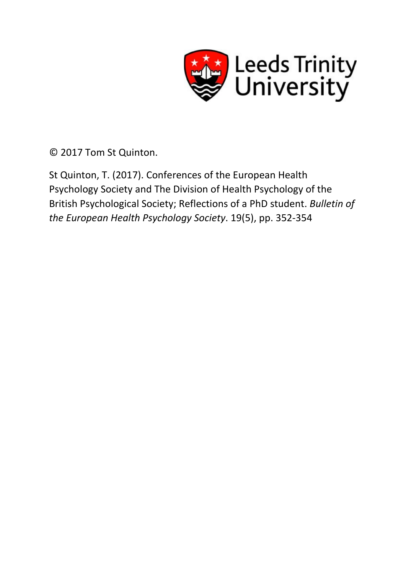

© 2017 Tom St Quinton.

St Quinton, T. (2017). Conferences of the European Health Psychology Society and The Division of Health Psychology of the British Psychological Society; Reflections of a PhD student. *Bulletin of the European Health Psychology Society*. 19(5), pp. 352-354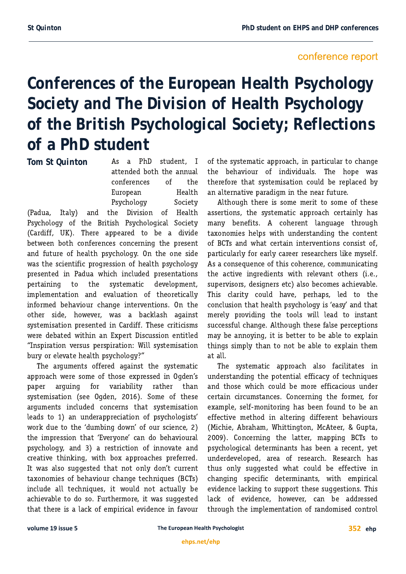## conference report

**Conferences of the European Health Psychology Society and The Division of Health Psychology of the British Psychological Society; Reflections of a PhD student**

**Tom St Quinton**

As a PhD student. I attended both the annual conferences of the European Health Psychology Society

(Padua, Italy) and the Division of Health Psychology of the British Psychological Society (Cardiff, UK). There appeared to be a divide between both conferences concerning the present and future of health psychology. On the one side was the scientific progression of health psychology presented in Padua which included presentations pertaining to the systematic development, implementation and evaluation of theoretically informed behaviour change interventions. On the other side, however, was a backlash aqainst systemisation presented in Cardiff. These criticisms were debated within an Expert Discussion entitled "Inspiration versus perspiration: Will systemisation bury or elevate health psychology?"

The arguments offered against the systematic approach were some of those expressed in Oqden's paper arquinq for variability rather than systemisation (see Oqden, 2016). Some of these arguments included concerns that systemisation leads to 1) an underappreciation of psychologists' work due to the 'dumbing down' of our science, 2) the impression that 'Everyone' can do behavioural psychology, and 3) a restriction of innovate and creative thinking, with box approaches preferred. It was also suggested that not only don't current taxonomies of behaviour change techniques (BCTs) include all techniques, it would not actually be achievable to do so. Furthermore, it was suqqested that there is a lack of empirical evidence in favour of the systematic approach, in particular to change the behaviour of individuals. The hope was therefore that systemisation could be replaced by an alternative paradigm in the near future.

Although there is some merit to some of these assertions, the systematic approach certainly has many benefits. A coherent language through taxonomies helps with understanding the content of BCTs and what certain interventions consist of, particularly for early career researchers like myself. As a consequence of this coherence, communicating the active ingredients with relevant others (i.e., supervisors, designers etc) also becomes achievable. This clarity could have, perhaps, led to the conclusion that health psychology is 'easy' and that merely providing the tools will lead to instant successful change. Although these false perceptions may be annoying, it is better to be able to explain things simply than to not be able to explain them at all.

The systematic approach also facilitates in understanding the potential efficacy of techniques and those which could be more efficacious under certain circumstances. Concerning the former, for example, self-monitoring has been found to be an effective method in altering different behaviours (Michie, Abraham, Whittington, McAteer, & Gupta, 2009). Concerning the latter, mapping BCTs to psychological determinants has been a recent, yet underdeveloped, area of research. Research has thus only suggested what could be effective in changing specific determinants, with empirical evidence lacking to support these suggestions. This lack of evidence, however, can be addressed through the implementation of randomised control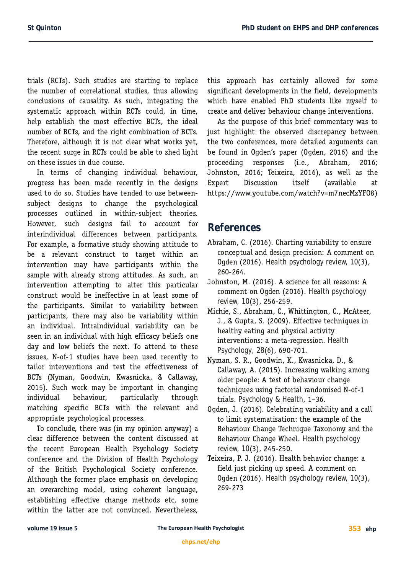trials (RCTs). Such studies are starting to replace the number of correlational studies, thus allowing conclusions of causality. As such, integrating the systematic approach within RCTs could, in time, help establish the most effective BCTs, the ideal number of BCTs, and the right combination of BCTs. Therefore, although it is not clear what works yet, the recent surge in RCTs could be able to shed light on these issues in due course.

In terms of changing individual behaviour, progress has been made recently in the designs used to do so. Studies have tended to use betweensubject designs to change the psychological processes outlined in within-subject theories. However, such designs fail to account for interindividual differences between participants. For example, a formative study showing attitude to be a relevant construct to target within an intervention may have participants within the sample with already strong attitudes. As such, an intervention attempting to alter this particular construct would be ineffective in at least some of the participants. Similar to variability between participants, there may also be variability within an individual. Intraindividual variability can be seen in an individual with high efficacy beliefs one day and low beliefs the next. To attend to these issues, N-of-1 studies have been used recently to tailor interventions and test the effectiveness of BCTs (Nyman, Goodwin, Kwasnicka, & Callaway, 2015). Such work may be important in changing individual behaviour, particularly through matching specific BCTs with the relevant and appropriate psychological processes.

To conclude, there was (in my opinion anyway) a clear difference between the content discussed at the recent European Health Psychology Society conference and the Division of Health Psychology of the British Psychological Society conference. Although the former place emphasis on developing an overarching model, using coherent language, establishing effective change methods etc, some within the latter are not convinced. Nevertheless, this approach has certainly allowed for some significant developments in the field, developments which have enabled PhD students like myself to create and deliver behaviour change interventions.

As the purpose of this brief commentary was to just highlight the observed discrepancy between the two conferences, more detailed arguments can be found in Ogden's paper (Ogden, 2016) and the proceeding responses (i.e., Abraham, 2016; Johnston, 2016; Teixeira, 2016), as well as the Expert Discussion itself (available at https://www.youtube.com/watch?v=m7necMzYF08)

## **References**

- Abraham, C. (2016). Charting variability to ensure conceptual and design precision: A comment on **Ogden (2016).** Health psychology review, 10(3), 260-264.
- Johnston, M. (2016). A science for all reasons: A comment on Ogden (2016). Health psychology *review, 10*
- Michie, S., Abraham, C., Whittington, C., McAteer, J., & Gupta, S. (2009). Effective techniques in healthy eating and physical activity interventions: a meta-regression. Health *Psychology, 28*
- Nyman, S. R., Goodwin, K., Kwasnicka, D., & Callaway, A. (2015). Increasing walking among older people: A test of behaviour change techniques using factorial randomised N-of-1 trials. Psychology & Health, 1-36.
- Oqden, J. (2016). Celebrating variability and a call to limit systematisation: the example of the Behaviour Change Technique Taxonomy and the **Behaviour Change Wheel.** Health psychology *review, 10*
- Teixeira, P. J. (2016). Health behavior change: a field just picking up speed. A comment on **Ogden (2016).** Health psychology review, 10(3), 269-273